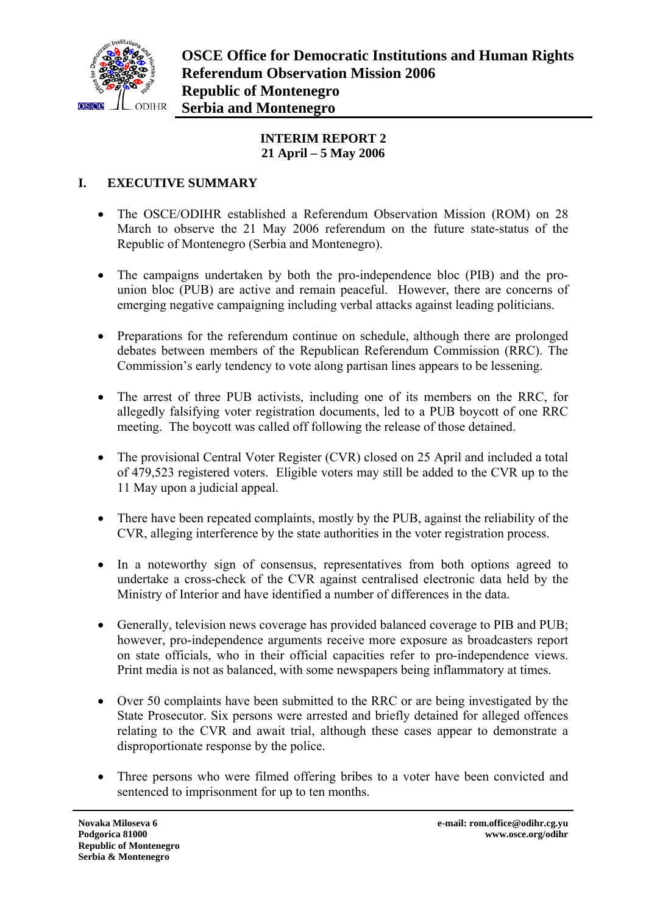

## **INTERIM REPORT 2 21 April – 5 May 2006**

# **I. EXECUTIVE SUMMARY**

- The OSCE/ODIHR established a Referendum Observation Mission (ROM) on 28 March to observe the 21 May 2006 referendum on the future state-status of the Republic of Montenegro (Serbia and Montenegro).
- The campaigns undertaken by both the pro-independence bloc (PIB) and the prounion bloc (PUB) are active and remain peaceful. However, there are concerns of emerging negative campaigning including verbal attacks against leading politicians.
- Preparations for the referendum continue on schedule, although there are prolonged debates between members of the Republican Referendum Commission (RRC). The Commission's early tendency to vote along partisan lines appears to be lessening.
- The arrest of three PUB activists, including one of its members on the RRC, for allegedly falsifying voter registration documents, led to a PUB boycott of one RRC meeting. The boycott was called off following the release of those detained.
- The provisional Central Voter Register (CVR) closed on 25 April and included a total of 479,523 registered voters. Eligible voters may still be added to the CVR up to the 11 May upon a judicial appeal.
- There have been repeated complaints, mostly by the PUB, against the reliability of the CVR, alleging interference by the state authorities in the voter registration process.
- In a noteworthy sign of consensus, representatives from both options agreed to undertake a cross-check of the CVR against centralised electronic data held by the Ministry of Interior and have identified a number of differences in the data.
- Generally, television news coverage has provided balanced coverage to PIB and PUB; however, pro-independence arguments receive more exposure as broadcasters report on state officials, who in their official capacities refer to pro-independence views. Print media is not as balanced, with some newspapers being inflammatory at times.
- Over 50 complaints have been submitted to the RRC or are being investigated by the State Prosecutor. Six persons were arrested and briefly detained for alleged offences relating to the CVR and await trial, although these cases appear to demonstrate a disproportionate response by the police.
- Three persons who were filmed offering bribes to a voter have been convicted and sentenced to imprisonment for up to ten months.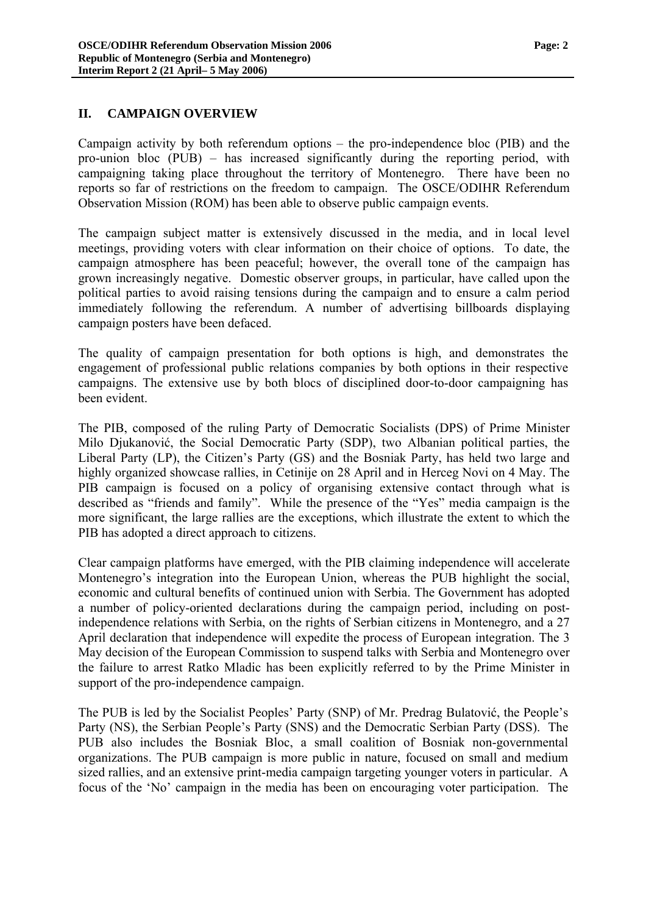#### **II. CAMPAIGN OVERVIEW**

Campaign activity by both referendum options – the pro-independence bloc (PIB) and the pro-union bloc (PUB) – has increased significantly during the reporting period, with campaigning taking place throughout the territory of Montenegro. There have been no reports so far of restrictions on the freedom to campaign. The OSCE/ODIHR Referendum Observation Mission (ROM) has been able to observe public campaign events.

The campaign subject matter is extensively discussed in the media, and in local level meetings, providing voters with clear information on their choice of options. To date, the campaign atmosphere has been peaceful; however, the overall tone of the campaign has grown increasingly negative. Domestic observer groups, in particular, have called upon the political parties to avoid raising tensions during the campaign and to ensure a calm period immediately following the referendum. A number of advertising billboards displaying campaign posters have been defaced.

The quality of campaign presentation for both options is high, and demonstrates the engagement of professional public relations companies by both options in their respective campaigns. The extensive use by both blocs of disciplined door-to-door campaigning has been evident.

The PIB, composed of the ruling Party of Democratic Socialists (DPS) of Prime Minister Milo Djukanović, the Social Democratic Party (SDP), two Albanian political parties, the Liberal Party (LP), the Citizen's Party (GS) and the Bosniak Party, has held two large and highly organized showcase rallies, in Cetinije on 28 April and in Herceg Novi on 4 May. The PIB campaign is focused on a policy of organising extensive contact through what is described as "friends and family". While the presence of the "Yes" media campaign is the more significant, the large rallies are the exceptions, which illustrate the extent to which the PIB has adopted a direct approach to citizens.

Clear campaign platforms have emerged, with the PIB claiming independence will accelerate Montenegro's integration into the European Union, whereas the PUB highlight the social, economic and cultural benefits of continued union with Serbia. The Government has adopted a number of policy-oriented declarations during the campaign period, including on postindependence relations with Serbia, on the rights of Serbian citizens in Montenegro, and a 27 April declaration that independence will expedite the process of European integration. The 3 May decision of the European Commission to suspend talks with Serbia and Montenegro over the failure to arrest Ratko Mladic has been explicitly referred to by the Prime Minister in support of the pro-independence campaign.

The PUB is led by the Socialist Peoples' Party (SNP) of Mr. Predrag Bulatović, the People's Party (NS), the Serbian People's Party (SNS) and the Democratic Serbian Party (DSS). The PUB also includes the Bosniak Bloc, a small coalition of Bosniak non-governmental organizations. The PUB campaign is more public in nature, focused on small and medium sized rallies, and an extensive print-media campaign targeting younger voters in particular. A focus of the 'No' campaign in the media has been on encouraging voter participation. The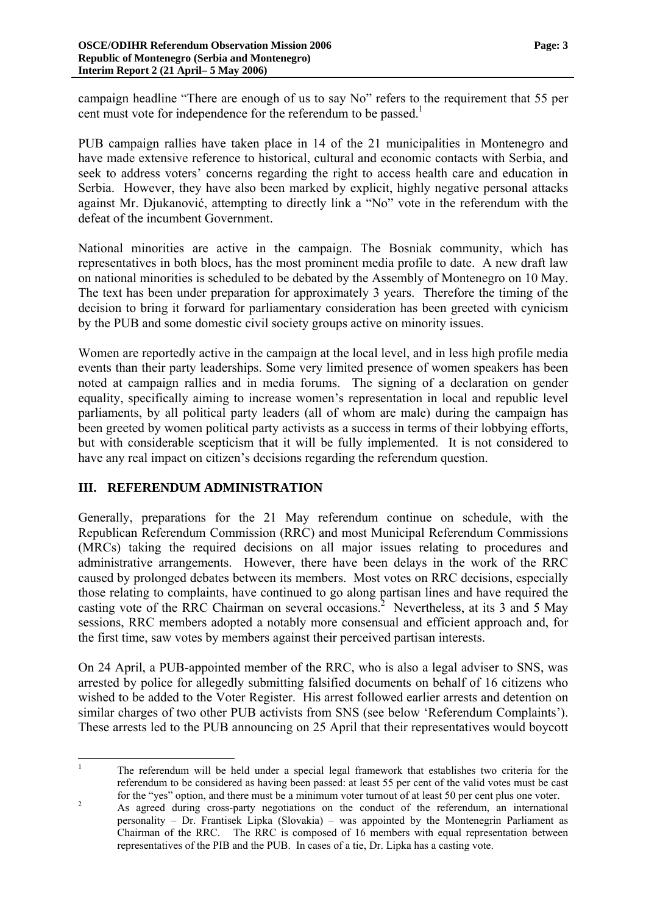campaign headline "There are enough of us to say No" refers to the requirement that 55 per cent must vote for independence for the referendum to be passed.<sup>[1](#page-2-0)</sup>

PUB campaign rallies have taken place in 14 of the 21 municipalities in Montenegro and have made extensive reference to historical, cultural and economic contacts with Serbia, and seek to address voters' concerns regarding the right to access health care and education in Serbia. However, they have also been marked by explicit, highly negative personal attacks against Mr. Djukanović, attempting to directly link a "No" vote in the referendum with the defeat of the incumbent Government.

National minorities are active in the campaign. The Bosniak community, which has representatives in both blocs, has the most prominent media profile to date. A new draft law on national minorities is scheduled to be debated by the Assembly of Montenegro on 10 May. The text has been under preparation for approximately 3 years. Therefore the timing of the decision to bring it forward for parliamentary consideration has been greeted with cynicism by the PUB and some domestic civil society groups active on minority issues.

Women are reportedly active in the campaign at the local level, and in less high profile media events than their party leaderships. Some very limited presence of women speakers has been noted at campaign rallies and in media forums. The signing of a declaration on gender equality, specifically aiming to increase women's representation in local and republic level parliaments, by all political party leaders (all of whom are male) during the campaign has been greeted by women political party activists as a success in terms of their lobbying efforts, but with considerable scepticism that it will be fully implemented. It is not considered to have any real impact on citizen's decisions regarding the referendum question.

## **III. REFERENDUM ADMINISTRATION**

Generally, preparations for the 21 May referendum continue on schedule, with the Republican Referendum Commission (RRC) and most Municipal Referendum Commissions (MRCs) taking the required decisions on all major issues relating to procedures and administrative arrangements. However, there have been delays in the work of the RRC caused by prolonged debates between its members. Most votes on RRC decisions, especially those relating to complaints, have continued to go along partisan lines and have required the casting vote of the RRC Chairman on several occasions.<sup>[2](#page-2-1)</sup> Nevertheless, at its 3 and 5 May sessions, RRC members adopted a notably more consensual and efficient approach and, for the first time, saw votes by members against their perceived partisan interests.

On 24 April, a PUB-appointed member of the RRC, who is also a legal adviser to SNS, was arrested by police for allegedly submitting falsified documents on behalf of 16 citizens who wished to be added to the Voter Register. His arrest followed earlier arrests and detention on similar charges of two other PUB activists from SNS (see below 'Referendum Complaints'). These arrests led to the PUB announcing on 25 April that their representatives would boycott

<span id="page-2-0"></span> $\frac{1}{1}$  The referendum will be held under a special legal framework that establishes two criteria for the referendum to be considered as having been passed: at least 55 per cent of the valid votes must be cast for the "yes" option, and there must be a minimum voter turnout of at least 50 per cent plus one voter.

<span id="page-2-1"></span>As agreed during cross-party negotiations on the conduct of the referendum, an international personality – Dr. Frantisek Lipka (Slovakia) – was appointed by the Montenegrin Parliament as Chairman of the RRC. The RRC is composed of 16 members with equal representation between representatives of the PIB and the PUB. In cases of a tie, Dr. Lipka has a casting vote.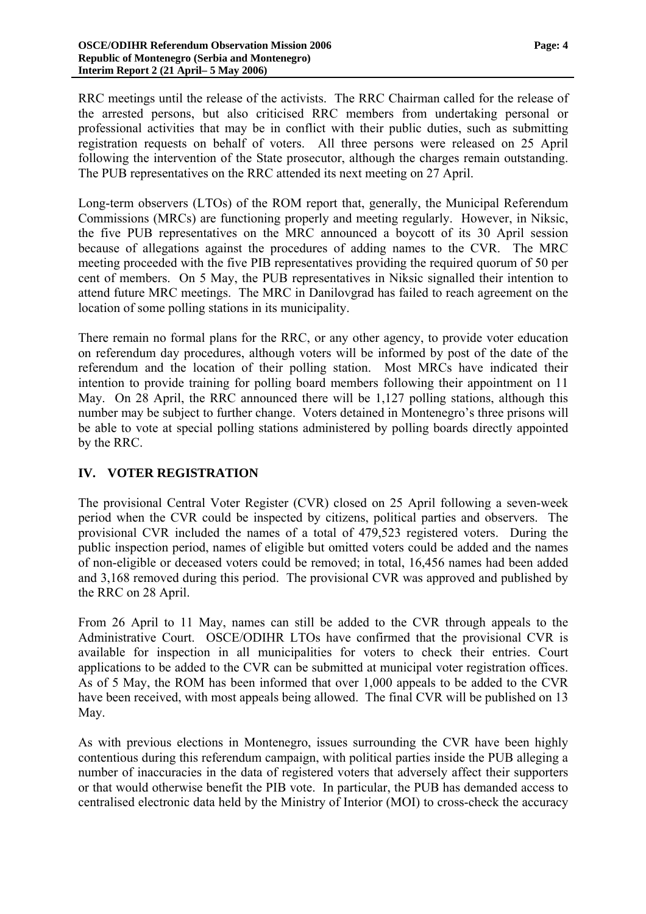RRC meetings until the release of the activists. The RRC Chairman called for the release of the arrested persons, but also criticised RRC members from undertaking personal or professional activities that may be in conflict with their public duties, such as submitting registration requests on behalf of voters. All three persons were released on 25 April following the intervention of the State prosecutor, although the charges remain outstanding. The PUB representatives on the RRC attended its next meeting on 27 April.

Long-term observers (LTOs) of the ROM report that, generally, the Municipal Referendum Commissions (MRCs) are functioning properly and meeting regularly. However, in Niksic, the five PUB representatives on the MRC announced a boycott of its 30 April session because of allegations against the procedures of adding names to the CVR. The MRC meeting proceeded with the five PIB representatives providing the required quorum of 50 per cent of members. On 5 May, the PUB representatives in Niksic signalled their intention to attend future MRC meetings. The MRC in Danilovgrad has failed to reach agreement on the location of some polling stations in its municipality.

There remain no formal plans for the RRC, or any other agency, to provide voter education on referendum day procedures, although voters will be informed by post of the date of the referendum and the location of their polling station. Most MRCs have indicated their intention to provide training for polling board members following their appointment on 11 May. On 28 April, the RRC announced there will be 1,127 polling stations, although this number may be subject to further change. Voters detained in Montenegro's three prisons will be able to vote at special polling stations administered by polling boards directly appointed by the RRC.

### **IV. VOTER REGISTRATION**

The provisional Central Voter Register (CVR) closed on 25 April following a seven-week period when the CVR could be inspected by citizens, political parties and observers. The provisional CVR included the names of a total of 479,523 registered voters. During the public inspection period, names of eligible but omitted voters could be added and the names of non-eligible or deceased voters could be removed; in total, 16,456 names had been added and 3,168 removed during this period. The provisional CVR was approved and published by the RRC on 28 April.

From 26 April to 11 May, names can still be added to the CVR through appeals to the Administrative Court. OSCE/ODIHR LTOs have confirmed that the provisional CVR is available for inspection in all municipalities for voters to check their entries. Court applications to be added to the CVR can be submitted at municipal voter registration offices. As of 5 May, the ROM has been informed that over 1,000 appeals to be added to the CVR have been received, with most appeals being allowed. The final CVR will be published on 13 May.

As with previous elections in Montenegro, issues surrounding the CVR have been highly contentious during this referendum campaign, with political parties inside the PUB alleging a number of inaccuracies in the data of registered voters that adversely affect their supporters or that would otherwise benefit the PIB vote. In particular, the PUB has demanded access to centralised electronic data held by the Ministry of Interior (MOI) to cross-check the accuracy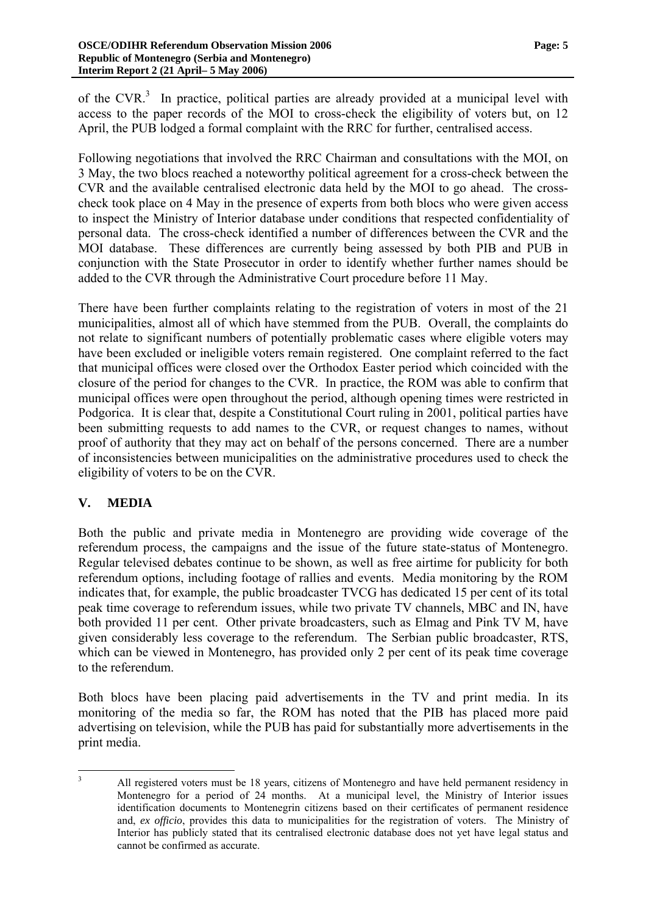of the CVR. $3$  In practice, political parties are already provided at a municipal level with access to the paper records of the MOI to cross-check the eligibility of voters but, on 12 April, the PUB lodged a formal complaint with the RRC for further, centralised access.

Following negotiations that involved the RRC Chairman and consultations with the MOI, on 3 May, the two blocs reached a noteworthy political agreement for a cross-check between the CVR and the available centralised electronic data held by the MOI to go ahead. The crosscheck took place on 4 May in the presence of experts from both blocs who were given access to inspect the Ministry of Interior database under conditions that respected confidentiality of personal data. The cross-check identified a number of differences between the CVR and the MOI database. These differences are currently being assessed by both PIB and PUB in conjunction with the State Prosecutor in order to identify whether further names should be added to the CVR through the Administrative Court procedure before 11 May.

There have been further complaints relating to the registration of voters in most of the 21 municipalities, almost all of which have stemmed from the PUB. Overall, the complaints do not relate to significant numbers of potentially problematic cases where eligible voters may have been excluded or ineligible voters remain registered. One complaint referred to the fact that municipal offices were closed over the Orthodox Easter period which coincided with the closure of the period for changes to the CVR. In practice, the ROM was able to confirm that municipal offices were open throughout the period, although opening times were restricted in Podgorica. It is clear that, despite a Constitutional Court ruling in 2001, political parties have been submitting requests to add names to the CVR, or request changes to names, without proof of authority that they may act on behalf of the persons concerned. There are a number of inconsistencies between municipalities on the administrative procedures used to check the eligibility of voters to be on the CVR.

### **V. MEDIA**

Both the public and private media in Montenegro are providing wide coverage of the referendum process, the campaigns and the issue of the future state-status of Montenegro. Regular televised debates continue to be shown, as well as free airtime for publicity for both referendum options, including footage of rallies and events. Media monitoring by the ROM indicates that, for example, the public broadcaster TVCG has dedicated 15 per cent of its total peak time coverage to referendum issues, while two private TV channels, MBC and IN, have both provided 11 per cent. Other private broadcasters, such as Elmag and Pink TV M, have given considerably less coverage to the referendum. The Serbian public broadcaster, RTS, which can be viewed in Montenegro, has provided only 2 per cent of its peak time coverage to the referendum.

Both blocs have been placing paid advertisements in the TV and print media. In its monitoring of the media so far, the ROM has noted that the PIB has placed more paid advertising on television, while the PUB has paid for substantially more advertisements in the print media.

<span id="page-4-0"></span> 3 All registered voters must be 18 years, citizens of Montenegro and have held permanent residency in Montenegro for a period of 24 months. At a municipal level, the Ministry of Interior issues identification documents to Montenegrin citizens based on their certificates of permanent residence and, *ex officio*, provides this data to municipalities for the registration of voters. The Ministry of Interior has publicly stated that its centralised electronic database does not yet have legal status and cannot be confirmed as accurate.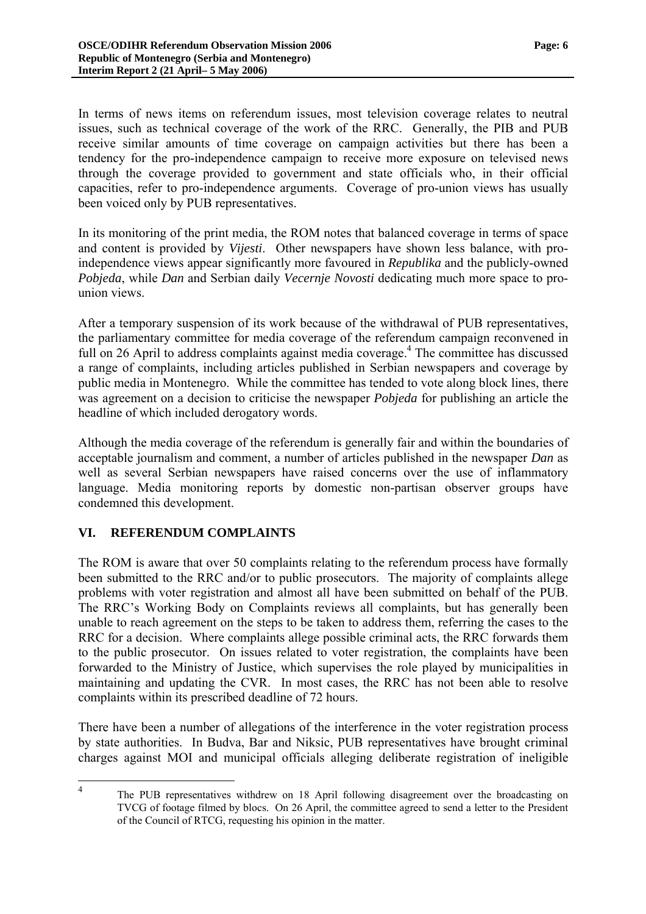In terms of news items on referendum issues, most television coverage relates to neutral issues, such as technical coverage of the work of the RRC. Generally, the PIB and PUB receive similar amounts of time coverage on campaign activities but there has been a tendency for the pro-independence campaign to receive more exposure on televised news through the coverage provided to government and state officials who, in their official capacities, refer to pro-independence arguments. Coverage of pro-union views has usually been voiced only by PUB representatives.

In its monitoring of the print media, the ROM notes that balanced coverage in terms of space and content is provided by *Vijesti*. Other newspapers have shown less balance, with proindependence views appear significantly more favoured in *Republika* and the publicly-owned *Pobjeda*, while *Dan* and Serbian daily *Vecernje Novosti* dedicating much more space to prounion views.

After a temporary suspension of its work because of the withdrawal of PUB representatives, the parliamentary committee for media coverage of the referendum campaign reconvened in full on 26 April to address complaints against media coverage.<sup>4</sup> The committee has discussed a range of complaints, including articles published in Serbian newspapers and coverage by public media in Montenegro. While the committee has tended to vote along block lines, there was agreement on a decision to criticise the newspaper *Pobjeda* for publishing an article the headline of which included derogatory words.

Although the media coverage of the referendum is generally fair and within the boundaries of acceptable journalism and comment, a number of articles published in the newspaper *Dan* as well as several Serbian newspapers have raised concerns over the use of inflammatory language. Media monitoring reports by domestic non-partisan observer groups have condemned this development.

### **VI. REFERENDUM COMPLAINTS**

 $\frac{1}{4}$ 

The ROM is aware that over 50 complaints relating to the referendum process have formally been submitted to the RRC and/or to public prosecutors. The majority of complaints allege problems with voter registration and almost all have been submitted on behalf of the PUB. The RRC's Working Body on Complaints reviews all complaints, but has generally been unable to reach agreement on the steps to be taken to address them, referring the cases to the RRC for a decision. Where complaints allege possible criminal acts, the RRC forwards them to the public prosecutor. On issues related to voter registration, the complaints have been forwarded to the Ministry of Justice, which supervises the role played by municipalities in maintaining and updating the CVR. In most cases, the RRC has not been able to resolve complaints within its prescribed deadline of 72 hours.

There have been a number of allegations of the interference in the voter registration process by state authorities. In Budva, Bar and Niksic, PUB representatives have brought criminal charges against MOI and municipal officials alleging deliberate registration of ineligible

<span id="page-5-0"></span>The PUB representatives withdrew on 18 April following disagreement over the broadcasting on TVCG of footage filmed by blocs. On 26 April, the committee agreed to send a letter to the President of the Council of RTCG, requesting his opinion in the matter.